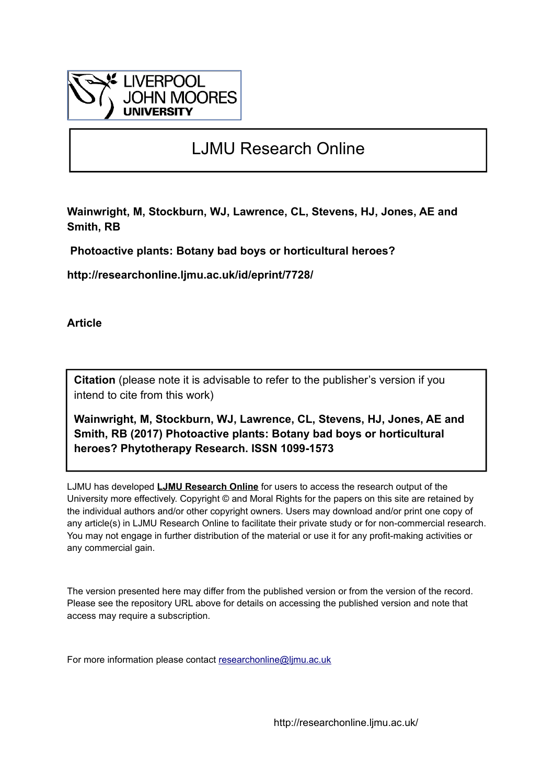

# LJMU Research Online

**Wainwright, M, Stockburn, WJ, Lawrence, CL, Stevens, HJ, Jones, AE and Smith, RB**

 **Photoactive plants: Botany bad boys or horticultural heroes?**

**http://researchonline.ljmu.ac.uk/id/eprint/7728/**

**Article**

**Citation** (please note it is advisable to refer to the publisher's version if you intend to cite from this work)

**Wainwright, M, Stockburn, WJ, Lawrence, CL, Stevens, HJ, Jones, AE and Smith, RB (2017) Photoactive plants: Botany bad boys or horticultural heroes? Phytotherapy Research. ISSN 1099-1573** 

LJMU has developed **[LJMU Research Online](http://researchonline.ljmu.ac.uk/)** for users to access the research output of the University more effectively. Copyright © and Moral Rights for the papers on this site are retained by the individual authors and/or other copyright owners. Users may download and/or print one copy of any article(s) in LJMU Research Online to facilitate their private study or for non-commercial research. You may not engage in further distribution of the material or use it for any profit-making activities or any commercial gain.

The version presented here may differ from the published version or from the version of the record. Please see the repository URL above for details on accessing the published version and note that access may require a subscription.

For more information please contact [researchonline@ljmu.ac.uk](mailto:researchonline@ljmu.ac.uk)

http://researchonline.ljmu.ac.uk/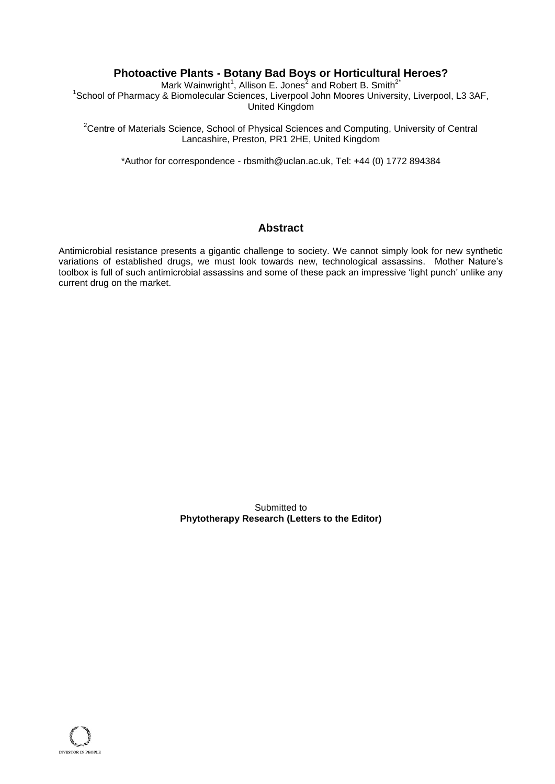## **Photoactive Plants - Botany Bad Boys or Horticultural Heroes?**

Mark Wainwright<sup>1</sup>, Allison E. Jones<sup>2</sup> and Robert B. Smith<sup>2\*</sup> <sup>1</sup>School of Pharmacy & Biomolecular Sciences, Liverpool John Moores University, Liverpool, L3 3AF, United Kingdom

<sup>2</sup>Centre of Materials Science, School of Physical Sciences and Computing, University of Central Lancashire, Preston, PR1 2HE, United Kingdom

\*Author for correspondence - rbsmith@uclan.ac.uk, Tel: +44 (0) 1772 894384

## **Abstract**

Antimicrobial resistance presents a gigantic challenge to society. We cannot simply look for new synthetic variations of established drugs, we must look towards new, technological assassins. Mother Nature's toolbox is full of such antimicrobial assassins and some of these pack an impressive 'light punch' unlike any current drug on the market.

> Submitted to **Phytotherapy Research (Letters to the Editor)**

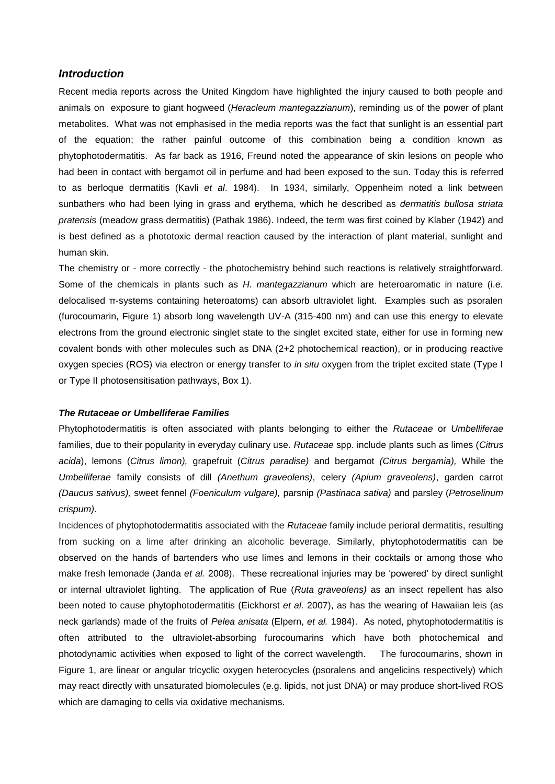### *Introduction*

Recent media reports across the United Kingdom have highlighted the injury caused to both people and animals on exposure to giant hogweed (*Heracleum mantegazzianum*), reminding us of the power of plant metabolites. What was not emphasised in the media reports was the fact that sunlight is an essential part of the equation; the rather painful outcome of this combination being a condition known as phytophotodermatitis. As far back as 1916, Freund noted the appearance of skin lesions on people who had been in contact with bergamot oil in perfume and had been exposed to the sun. Today this is referred to as berloque dermatitis (Kavli *et al*. 1984). In 1934, similarly, Oppenheim noted a link between sunbathers who had been lying in grass and **e**rythema, which he described as *dermatitis bullosa striata pratensis* (meadow grass dermatitis) (Pathak 1986). Indeed, the term was first coined by Klaber (1942) and is best defined as a phototoxic dermal reaction caused by the interaction of plant material, sunlight and human skin.

The chemistry or - more correctly - the photochemistry behind such reactions is relatively straightforward. Some of the chemicals in plants such as *H. mantegazzianum* which are heteroaromatic in nature (i.e. delocalised π-systems containing heteroatoms) can absorb ultraviolet light. Examples such as psoralen (furocoumarin, Figure 1) absorb long wavelength UV-A (315-400 nm) and can use this energy to elevate electrons from the ground electronic singlet state to the singlet excited state, either for use in forming new covalent bonds with other molecules such as DNA (2+2 photochemical reaction), or in producing reactive oxygen species (ROS) via electron or energy transfer to *in situ* oxygen from the triplet excited state (Type I or Type II photosensitisation pathways, Box 1).

#### *The Rutaceae or Umbelliferae Families*

Phytophotodermatitis is often associated with plants belonging to either the *Rutaceae* or *Umbelliferae* families, due to their popularity in everyday culinary use. *Rutaceae* spp. include plants such as limes (*Citrus acida*), lemons (*Citrus limon),* grapefruit (*Citrus paradise)* and bergamot *(Citrus bergamia),* While the *Umbelliferae* family consists of dill *(Anethum graveolens)*, celery *(Apium graveolens)*, garden carrot *(Daucus sativus),* sweet fennel *(Foeniculum vulgare),* parsnip *(Pastinaca sativa)* and parsley (*Petroselinum crispum)*.

Incidences of phytophotodermatitis associated with the *Rutaceae* family include perioral dermatitis, resulting from sucking on a lime after drinking an alcoholic beverage. Similarly, phytophotodermatitis can be observed on the hands of bartenders who use limes and lemons in their cocktails or among those who make fresh lemonade (Janda *et al.* 2008). These recreational injuries may be 'powered' by direct sunlight or internal ultraviolet lighting. The application of Rue (*Ruta graveolens)* as an insect repellent has also been noted to cause phytophotodermatitis (Eickhorst *et al.* 2007), as has the wearing of Hawaiian leis (as neck garlands) made of the fruits of *Pelea anisata* (Elpern, *et al.* 1984). As noted, phytophotodermatitis is often attributed to the ultraviolet-absorbing furocoumarins which have both photochemical and photodynamic activities when exposed to light of the correct wavelength. The furocoumarins, shown in Figure 1, are linear or angular tricyclic oxygen heterocycles (psoralens and angelicins respectively) which may react directly with unsaturated biomolecules (e.g. lipids, not just DNA) or may produce short-lived ROS which are damaging to cells via oxidative mechanisms.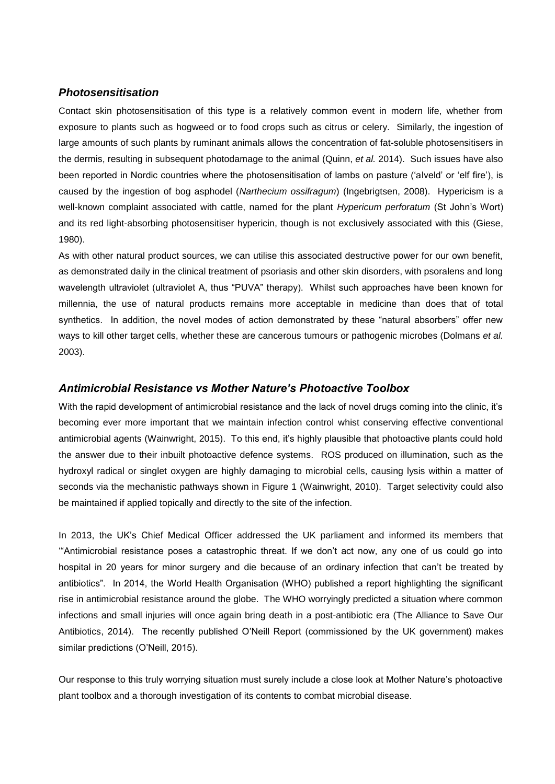## *Photosensitisation*

Contact skin photosensitisation of this type is a relatively common event in modern life, whether from exposure to plants such as hogweed or to food crops such as citrus or celery. Similarly, the ingestion of large amounts of such plants by ruminant animals allows the concentration of fat-soluble photosensitisers in the dermis, resulting in subsequent photodamage to the animal (Quinn, *et al.* 2014). Such issues have also been reported in Nordic countries where the photosensitisation of lambs on pasture ('alveld' or 'elf fire'), is caused by the ingestion of bog asphodel (*Narthecium ossifragum*) (Ingebrigtsen, 2008). Hypericism is a well-known complaint associated with cattle, named for the plant *Hypericum perforatum* (St John's Wort) and its red light-absorbing photosensitiser hypericin, though is not exclusively associated with this (Giese, 1980).

As with other natural product sources, we can utilise this associated destructive power for our own benefit, as demonstrated daily in the clinical treatment of psoriasis and other skin disorders, with psoralens and long wavelength ultraviolet (ultraviolet A, thus "PUVA" therapy). Whilst such approaches have been known for millennia, the use of natural products remains more acceptable in medicine than does that of total synthetics. In addition, the novel modes of action demonstrated by these "natural absorbers" offer new ways to kill other target cells, whether these are cancerous tumours or pathogenic microbes (Dolmans *et al.* 2003).

## *Antimicrobial Resistance vs Mother Nature's Photoactive Toolbox*

With the rapid development of antimicrobial resistance and the lack of novel drugs coming into the clinic, it's becoming ever more important that we maintain infection control whist conserving effective conventional antimicrobial agents (Wainwright, 2015). To this end, it's highly plausible that photoactive plants could hold the answer due to their inbuilt photoactive defence systems. ROS produced on illumination, such as the hydroxyl radical or singlet oxygen are highly damaging to microbial cells, causing lysis within a matter of seconds via the mechanistic pathways shown in Figure 1 (Wainwright, 2010). Target selectivity could also be maintained if applied topically and directly to the site of the infection.

In 2013, the UK's Chief Medical Officer addressed the UK parliament and informed its members that '"Antimicrobial resistance poses a catastrophic threat. If we don't act now, any one of us could go into hospital in 20 years for minor surgery and die because of an ordinary infection that can't be treated by antibiotics". In 2014, the World Health Organisation (WHO) published a report highlighting the significant rise in antimicrobial resistance around the globe. The WHO worryingly predicted a situation where common infections and small injuries will once again bring death in a post-antibiotic era (The Alliance to Save Our Antibiotics, 2014). The recently published O'Neill Report (commissioned by the UK government) makes similar predictions (O'Neill, 2015).

Our response to this truly worrying situation must surely include a close look at Mother Nature's photoactive plant toolbox and a thorough investigation of its contents to combat microbial disease.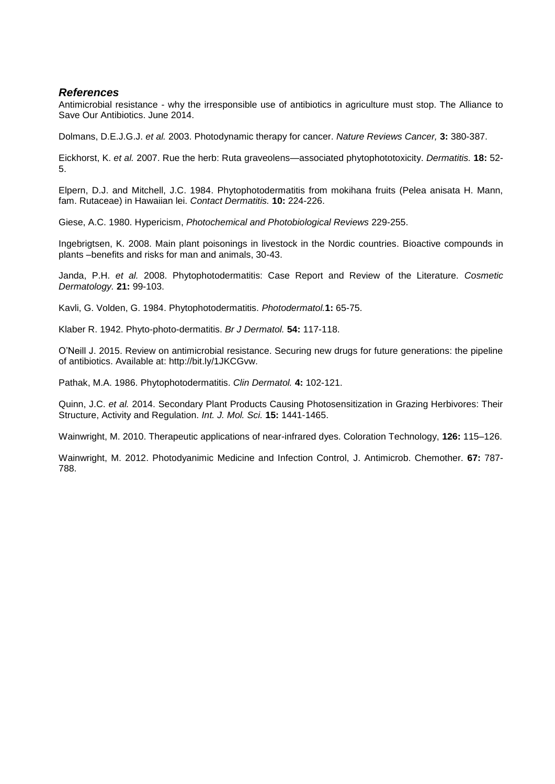## *References*

Antimicrobial resistance - why the irresponsible use of antibiotics in agriculture must stop. The Alliance to Save Our Antibiotics. June 2014.

Dolmans, D.E.J.G.J. *et al.* 2003. Photodynamic therapy for cancer. *Nature Reviews Cancer,* **3:** 380-387.

Eickhorst, K. *et al.* 2007. Rue the herb: Ruta graveolens—associated phytophototoxicity. *Dermatitis.* **18:** 52- 5.

Elpern, D.J. and Mitchell, J.C. 1984. Phytophotodermatitis from mokihana fruits (Pelea anisata H. Mann, fam. Rutaceae) in Hawaiian lei. *Contact Dermatitis.* **10:** 224-226.

Giese, A.C. 1980. Hypericism, *Photochemical and Photobiological Reviews* 229-255.

Ingebrigtsen, K. 2008. Main plant poisonings in livestock in the Nordic countries. Bioactive compounds in plants –benefits and risks for man and animals, 30-43.

Janda, P.H. *et al.* 2008. Phytophotodermatitis: Case Report and Review of the Literature. *Cosmetic Dermatology.* **21:** 99-103.

Kavli, G. Volden, G. 1984. Phytophotodermatitis. *Photodermatol.***1:** 65-75.

Klaber R. 1942. Phyto-photo-dermatitis. *Br J Dermatol.* **54:** 117-118.

O'Neill J. 2015. Review on antimicrobial resistance. Securing new drugs for future generations: the pipeline of antibiotics. Available at: http://bit.ly/1JKCGvw.

Pathak, M.A. 1986. Phytophotodermatitis. *Clin Dermatol.* **4:** 102-121.

Quinn, J.C. *et al.* 2014. Secondary Plant Products Causing Photosensitization in Grazing Herbivores: Their Structure, Activity and Regulation. *Int. J. Mol. Sci.* **15:** 1441-1465.

Wainwright, M. 2010. Therapeutic applications of near-infrared dyes. Coloration Technology, **126:** 115–126.

Wainwright, M. 2012. Photodyanimic Medicine and Infection Control, J. Antimicrob. Chemother. **67:** 787- 788.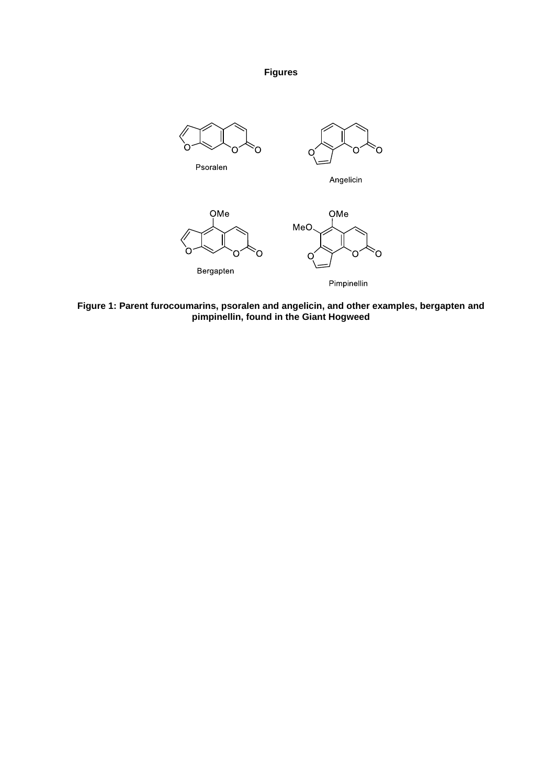**Figures**



**Figure 1: Parent furocoumarins, psoralen and angelicin, and other examples, bergapten and pimpinellin, found in the Giant Hogweed**